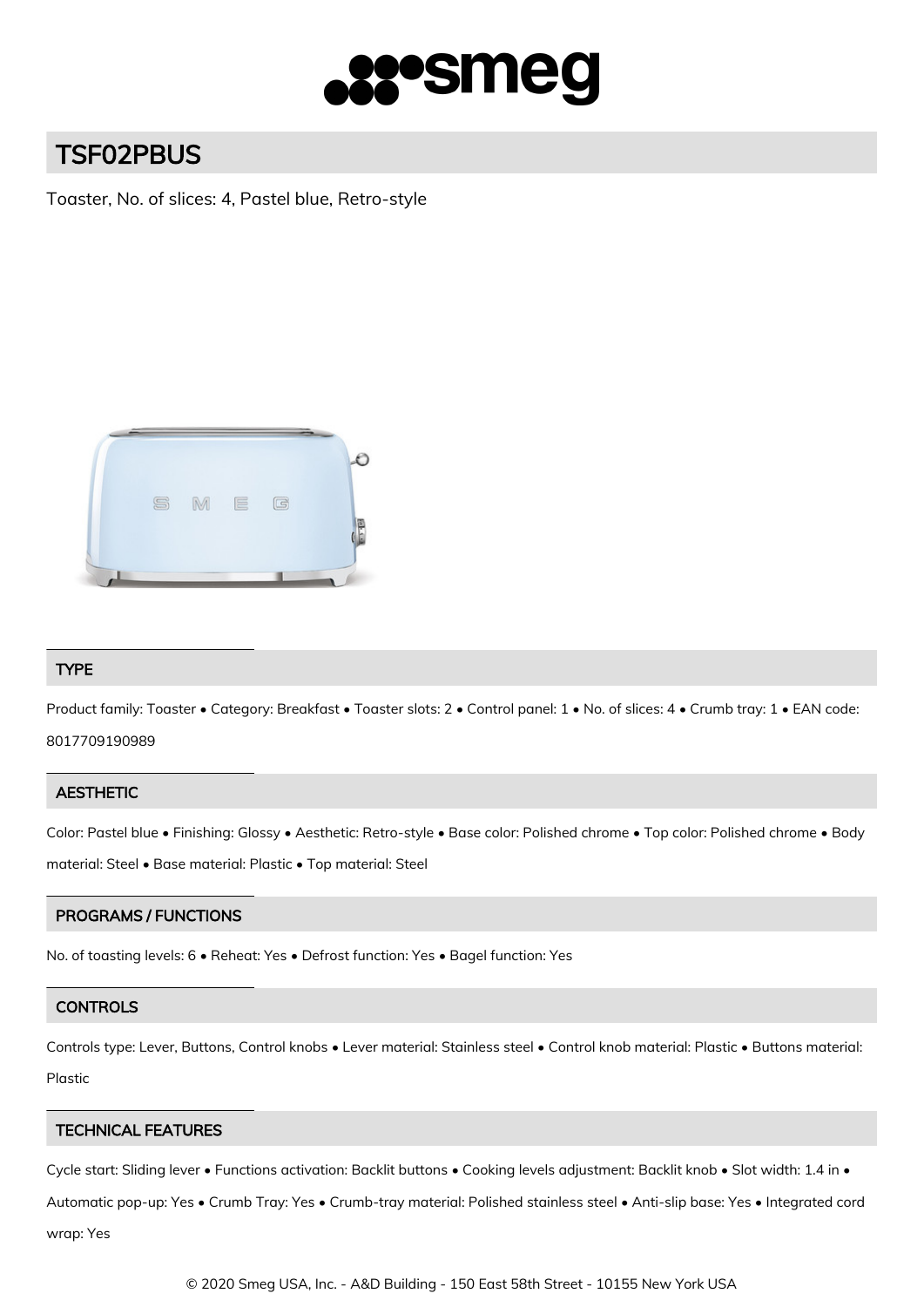

# TSF02PBUS

Toaster, No. of slices: 4, Pastel blue, Retro-style



# TYPE

Product family: Toaster • Category: Breakfast • Toaster slots: 2 • Control panel: 1 • No. of slices: 4 • Crumb tray: 1 • EAN code: 8017709190989

# **AESTHETIC**

Color: Pastel blue • Finishing: Glossy • Aesthetic: Retro-style • Base color: Polished chrome • Top color: Polished chrome • Body material: Steel • Base material: Plastic • Top material: Steel

# PROGRAMS / FUNCTIONS

No. of toasting levels: 6 • Reheat: Yes • Defrost function: Yes • Bagel function: Yes

# **CONTROLS**

Controls type: Lever, Buttons, Control knobs • Lever material: Stainless steel • Control knob material: Plastic • Buttons material: Plastic

# TECHNICAL FEATURES

Cycle start: Sliding lever • Functions activation: Backlit buttons • Cooking levels adjustment: Backlit knob • Slot width: 1.4 in •

Automatic pop-up: Yes • Crumb Tray: Yes • Crumb-tray material: Polished stainless steel • Anti-slip base: Yes • Integrated cord

wrap: Yes